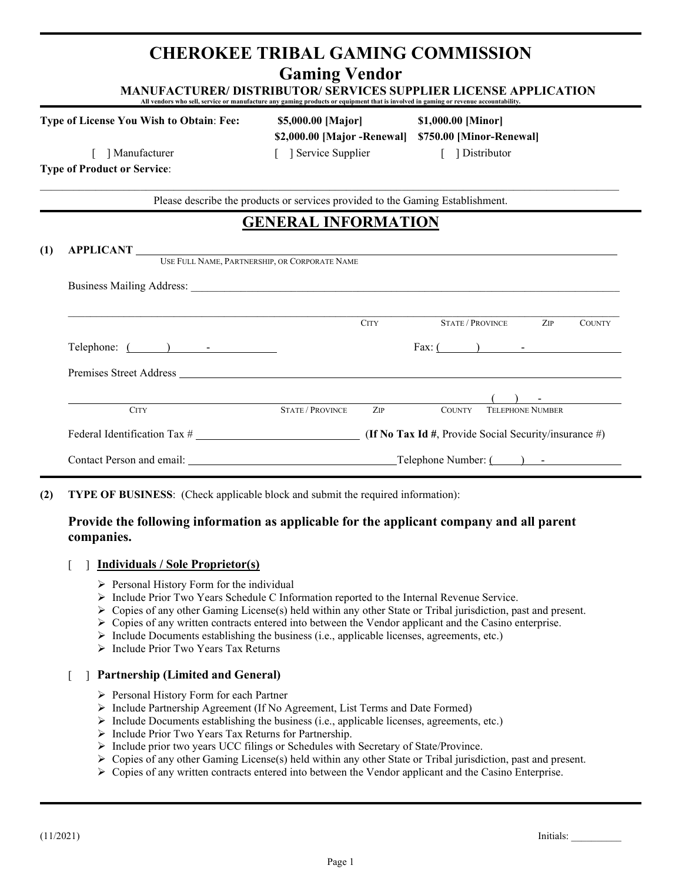# **CHEROKEE TRIBAL GAMING COMMISSION Gaming Vendor**

**MANUFACTURER/ DISTRIBUTOR/ SERVICES SUPPLIER LICENSE APPLICATION All vendors who sell, service or manufacture any gaming products or equipment that is involved in gaming or revenue accountability.** 

**Type of License You Wish to Obtain**: **Fee: \$5,000.00 [Major] \$1,000.00 [Minor]**

**\$2,000.00 [Major -Renewal] \$750.00 [Minor-Renewal]** [ ] Manufacturer [ ] Service Supplier [ ] Distributor

**Type of Product or Service**:

\_\_\_\_\_\_\_\_\_\_\_\_\_\_\_\_\_\_\_\_\_\_\_\_\_\_\_\_\_\_\_\_\_\_\_\_\_\_\_\_\_\_\_\_\_\_\_\_\_\_\_\_\_\_\_\_\_\_\_\_\_\_\_\_\_\_\_\_\_\_\_\_\_\_\_\_\_\_\_\_\_\_\_\_\_\_\_\_\_\_\_\_\_\_\_\_\_\_\_\_\_\_\_\_ Please describe the products or services provided to the Gaming Establishment.

# **GENERAL INFORMATION**

| USE FULL NAME, PARTNERSHIP, OR CORPORATE NAME                                                                                                                                                                                 |                         |             |                                                       |  |  |  |  |  |  |  |
|-------------------------------------------------------------------------------------------------------------------------------------------------------------------------------------------------------------------------------|-------------------------|-------------|-------------------------------------------------------|--|--|--|--|--|--|--|
|                                                                                                                                                                                                                               |                         |             |                                                       |  |  |  |  |  |  |  |
|                                                                                                                                                                                                                               |                         | <b>CITY</b> | <b>STATE / PROVINCE</b><br>ZIP<br><b>COUNTY</b>       |  |  |  |  |  |  |  |
| Telephone: ( ) - Telephone: ( ) ) - ( ) - ( ) ( ) ( ) = ( ) = ( ) = ( ) = ( ) = ( ) = ( ) = ( ) = ( ) = ( ) = ( ) = ( ) = ( ) = ( ) = ( ) = ( ) = ( ) = ( ) = ( ) = ( ) = ( ) = ( ) = ( ) = ( ) = ( ) = ( ) = ( ) = ( ) = ( ) |                         |             | Fax: $\begin{pmatrix} 1 & 1 \\ 1 & 1 \end{pmatrix}$   |  |  |  |  |  |  |  |
|                                                                                                                                                                                                                               |                         |             |                                                       |  |  |  |  |  |  |  |
|                                                                                                                                                                                                                               |                         |             |                                                       |  |  |  |  |  |  |  |
| <b>CITY</b>                                                                                                                                                                                                                   | <b>STATE / PROVINCE</b> | ZIP         | <b>TELEPHONE NUMBER</b><br><b>COUNTY</b>              |  |  |  |  |  |  |  |
| Federal Identification Tax #                                                                                                                                                                                                  |                         |             | (If No Tax Id #, Provide Social Security/insurance #) |  |  |  |  |  |  |  |
|                                                                                                                                                                                                                               |                         |             | Contact Person and email: Telephone Number: (i) -     |  |  |  |  |  |  |  |

**(2) TYPE OF BUSINESS**: (Check applicable block and submit the required information):

## **Provide the following information as applicable for the applicant company and all parent companies.**

- [ ] **Individuals / Sole Proprietor(s)**
	- $\triangleright$  Personal History Form for the individual
	- $\triangleright$  Include Prior Two Years Schedule C Information reported to the Internal Revenue Service.
	- $\triangleright$  Copies of any other Gaming License(s) held within any other State or Tribal jurisdiction, past and present.
	- $\triangleright$  Copies of any written contracts entered into between the Vendor applicant and the Casino enterprise.
	- $\triangleright$  Include Documents establishing the business (i.e., applicable licenses, agreements, etc.)
	- > Include Prior Two Years Tax Returns

## [ ] **Partnership (Limited and General)**

- Personal History Form for each Partner
- $\triangleright$  Include Partnership Agreement (If No Agreement, List Terms and Date Formed)
- $\triangleright$  Include Documents establishing the business (i.e., applicable licenses, agreements, etc.)
- > Include Prior Two Years Tax Returns for Partnership.
- Include prior two years UCC filings or Schedules with Secretary of State/Province.
- $\triangleright$  Copies of any other Gaming License(s) held within any other State or Tribal jurisdiction, past and present.
- $\triangleright$  Copies of any written contracts entered into between the Vendor applicant and the Casino Enterprise.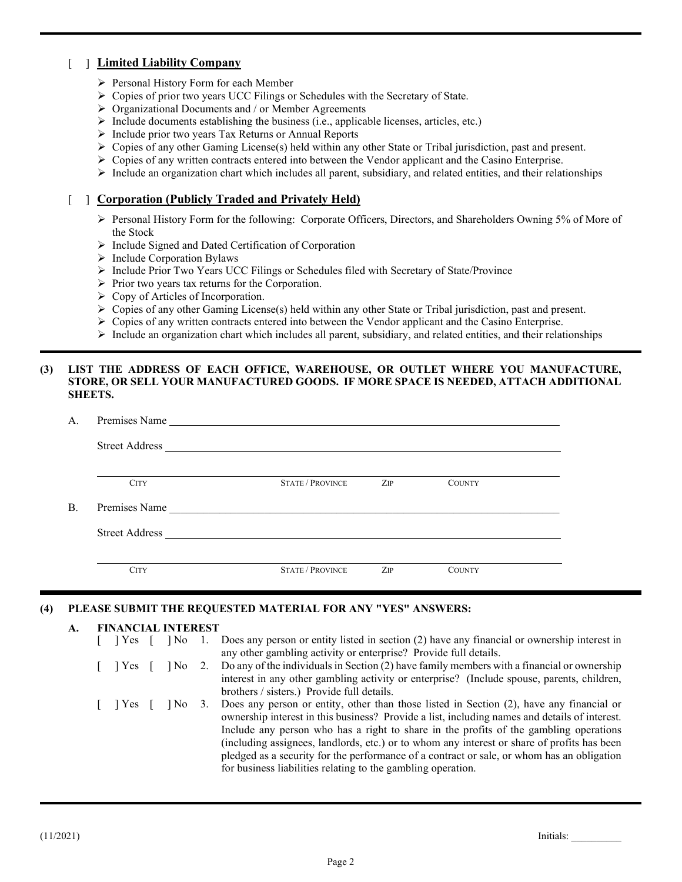### [ ] **Limited Liability Company**

- Personal History Form for each Member
- Copies of prior two years UCC Filings or Schedules with the Secretary of State.
- $\triangleright$  Organizational Documents and / or Member Agreements
- $\triangleright$  Include documents establishing the business (i.e., applicable licenses, articles, etc.)
- $\triangleright$  Include prior two years Tax Returns or Annual Reports
- $\triangleright$  Copies of any other Gaming License(s) held within any other State or Tribal jurisdiction, past and present.
- $\triangleright$  Copies of any written contracts entered into between the Vendor applicant and the Casino Enterprise.
- $\triangleright$  Include an organization chart which includes all parent, subsidiary, and related entities, and their relationships

### [ ] **Corporation (Publicly Traded and Privately Held)**

- Personal History Form for the following: Corporate Officers, Directors, and Shareholders Owning 5% of More of the Stock
- > Include Signed and Dated Certification of Corporation
- $\triangleright$  Include Corporation Bylaws
- $\triangleright$  Include Prior Two Years UCC Filings or Schedules filed with Secretary of State/Province
- $\triangleright$  Prior two years tax returns for the Corporation.
- $\triangleright$  Copy of Articles of Incorporation.
- $\triangleright$  Copies of any other Gaming License(s) held within any other State or Tribal jurisdiction, past and present.
- $\triangleright$  Copies of any written contracts entered into between the Vendor applicant and the Casino Enterprise.
- $\triangleright$  Include an organization chart which includes all parent, subsidiary, and related entities, and their relationships

#### **(3) LIST THE ADDRESS OF EACH OFFICE, WAREHOUSE, OR OUTLET WHERE YOU MANUFACTURE, STORE, OR SELL YOUR MANUFACTURED GOODS. IF MORE SPACE IS NEEDED, ATTACH ADDITIONAL SHEETS.**

| А.        | Premises Name         |                         |     |               |  |  |  |  |  |
|-----------|-----------------------|-------------------------|-----|---------------|--|--|--|--|--|
|           | <b>Street Address</b> |                         |     |               |  |  |  |  |  |
|           | <b>CITY</b>           | <b>STATE / PROVINCE</b> | ZIP | <b>COUNTY</b> |  |  |  |  |  |
| <b>B.</b> | Premises Name         |                         |     |               |  |  |  |  |  |
|           | <b>Street Address</b> |                         |     |               |  |  |  |  |  |
|           | <b>CITY</b>           | <b>STATE / PROVINCE</b> | ZIP | <b>COUNTY</b> |  |  |  |  |  |

#### **(4) PLEASE SUBMIT THE REQUESTED MATERIAL FOR ANY "YES" ANSWERS:**

#### **A. FINANCIAL INTEREST**

| $ Yes $ $  No$  |  | 1. Does any person or entity listed in section (2) have any financial or ownership interest in<br>any other gambling activity or enterprise? Provide full details.                                                                                                                                                                                                                                                                                                                                                                                     |
|-----------------|--|--------------------------------------------------------------------------------------------------------------------------------------------------------------------------------------------------------------------------------------------------------------------------------------------------------------------------------------------------------------------------------------------------------------------------------------------------------------------------------------------------------------------------------------------------------|
| [ ] Yes [       |  | No 2. Do any of the individuals in Section (2) have family members with a financial or ownership<br>interest in any other gambling activity or enterprise? (Include spouse, parents, children,<br>brothers / sisters.) Provide full details.                                                                                                                                                                                                                                                                                                           |
| $ $ $ $ Yes $ $ |  | [No 3. Does any person or entity, other than those listed in Section (2), have any financial or<br>ownership interest in this business? Provide a list, including names and details of interest.<br>Include any person who has a right to share in the profits of the gambling operations<br>(including assignees, landlords, etc.) or to whom any interest or share of profits has been<br>pledged as a security for the performance of a contract or sale, or whom has an obligation<br>for business liabilities relating to the gambling operation. |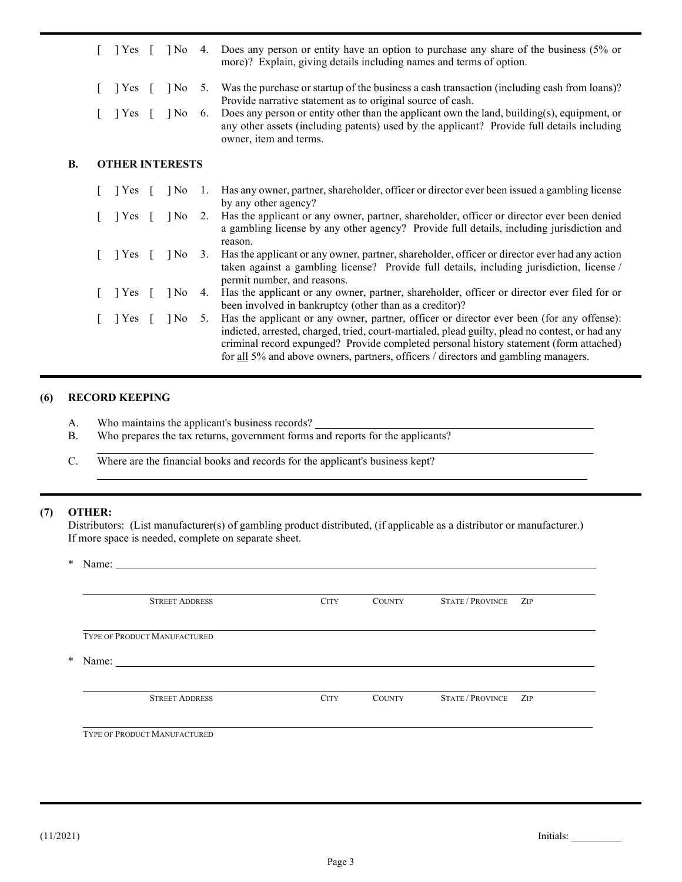|    | l Yes                                                             | $\log$ |      | 4. Does any person or entity have an option to purchase any share of the business (5% or<br>more)? Explain, giving details including names and terms of option.                                                                                                                                                                                                              |
|----|-------------------------------------------------------------------|--------|------|------------------------------------------------------------------------------------------------------------------------------------------------------------------------------------------------------------------------------------------------------------------------------------------------------------------------------------------------------------------------------|
|    | Yes                                                               | $\log$ | 5.   | Was the purchase or startup of the business a cash transaction (including cash from loans)?<br>Provide narrative statement as to original source of cash.                                                                                                                                                                                                                    |
|    | Yes                                                               | $ $ No | 6.   | Does any person or entity other than the applicant own the land, building(s), equipment, or<br>any other assets (including patents) used by the applicant? Provide full details including<br>owner, item and terms.                                                                                                                                                          |
| В. | <b>OTHER INTERESTS</b>                                            |        |      |                                                                                                                                                                                                                                                                                                                                                                              |
|    | $\vert$ Yes [                                                     | $\log$ | - 1. | Has any owner, partner, shareholder, officer or director ever been issued a gambling license<br>by any other agency?                                                                                                                                                                                                                                                         |
|    | Yes                                                               | $\log$ | 2.   | Has the applicant or any owner, partner, shareholder, officer or director ever been denied<br>a gambling license by any other agency? Provide full details, including jurisdiction and<br>reason.                                                                                                                                                                            |
|    | $\begin{bmatrix} \end{bmatrix} Yes \begin{bmatrix} \end{bmatrix}$ | $ $ No | 3.   | Has the applicant or any owner, partner, shareholder, officer or director ever had any action<br>taken against a gambling license? Provide full details, including jurisdiction, license /<br>permit number, and reasons.                                                                                                                                                    |
|    | $\vert$ Yes [                                                     | $\log$ | 4.   | Has the applicant or any owner, partner, shareholder, officer or director ever filed for or<br>been involved in bankruptcy (other than as a creditor)?                                                                                                                                                                                                                       |
|    | $\begin{bmatrix} \end{bmatrix} Yes \begin{bmatrix} \end{bmatrix}$ | $\log$ | 5.   | Has the applicant or any owner, partner, officer or director ever been (for any offense):<br>indicted, arrested, charged, tried, court-martialed, plead guilty, plead no contest, or had any<br>criminal record expunged? Provide completed personal history statement (form attached)<br>for all 5% and above owners, partners, officers / directors and gambling managers. |

#### **(6) RECORD KEEPING**

 $\overline{a}$ 

- A. Who maintains the applicant's business records?
- B. Who prepares the tax returns, government forms and reports for the applicants?
- C. Where are the financial books and records for the applicant's business kept?

#### **(7) OTHER:**

Distributors: (List manufacturer(s) of gambling product distributed, (if applicable as a distributor or manufacturer.) If more space is needed, complete on separate sheet.

\* Name:

| <b>STREET ADDRESS</b>               | <b>CITY</b> | <b>COUNTY</b> | <b>STATE / PROVINCE</b> | ZIP |
|-------------------------------------|-------------|---------------|-------------------------|-----|
| <b>TYPE OF PRODUCT MANUFACTURED</b> |             |               |                         |     |
|                                     |             |               |                         |     |
| <b>STREET ADDRESS</b>               | <b>CITY</b> | <b>COUNTY</b> | <b>STATE / PROVINCE</b> | ZIP |
|                                     |             |               |                         |     |

 $\ddot{\phantom{a}}$